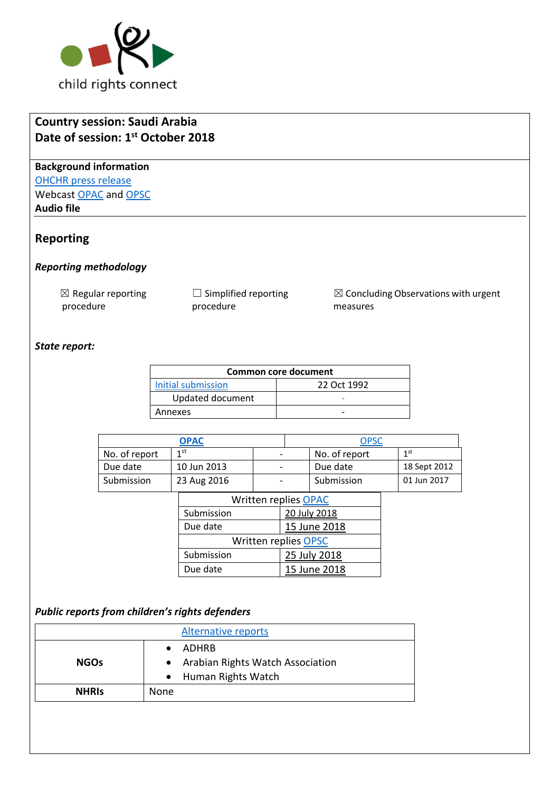

## **Country session: Saudi Arabia Date of session: 1 st October 2018**

**Background information** [OHCHR press release](https://www.unog.ch/unog/website/news_media.nsf/(httpNewsByYear_en)/A724F971EF8E050DC1258319005EF9C5?OpenDocument) Webcast [OPAC](http://webtv.un.org/search/consideration-of-saudi-arabia-opac-2332nd-meeting-79th-session-committee-on-the-rights-of-the-child/5843218744001/?term=crc%20%20saudi%20arabia&sort=date) and [OPSC](http://webtv.un.org/search/consideration-of-saudi-arabia-opsc-2331st-meeting-79th-session-committee-on-the-rights-of-the-child/5843699614001/?term=crc%20%20saudi%20arabia&sort=date) **Audio file**

## **Reporting**

#### *Reporting methodology*

 $\boxtimes$  Regular reporting procedure

 $\Box$  Simplified reporting procedure

☒ Concluding Observations with urgent measures

#### *State report:*

| Common core document |             |  |  |  |
|----------------------|-------------|--|--|--|
| Initial submission   | 22 Oct 1992 |  |  |  |
| Updated document     |             |  |  |  |
| Annexes              |             |  |  |  |

| <b>OPAC</b>          |                 | <b>OPSC</b> |  |               |  |                 |
|----------------------|-----------------|-------------|--|---------------|--|-----------------|
| No. of report        | 1 <sup>st</sup> |             |  | No. of report |  | 1 <sup>st</sup> |
| Due date             | 10 Jun 2013     |             |  | Due date      |  | 18 Sept 2012    |
| Submission           | 23 Aug 2016     |             |  | Submission    |  | 01 Jun 2017     |
| Written replies OPAC |                 |             |  |               |  |                 |
|                      | Submission      |             |  | 20 July 2018  |  |                 |
|                      | Due date        |             |  | 15 June 2018  |  |                 |

| <b>Written replies OPSC</b> |              |  |
|-----------------------------|--------------|--|
| Submission                  | 25 July 2018 |  |
| Due date                    | 15 June 2018 |  |

#### *Public reports from children's rights defenders*

| <b>Alternative reports</b> |                                    |  |
|----------------------------|------------------------------------|--|
|                            | ADHRB                              |  |
| <b>NGOs</b>                | • Arabian Rights Watch Association |  |
|                            | • Human Rights Watch               |  |
| <b>NHRIS</b>               | None                               |  |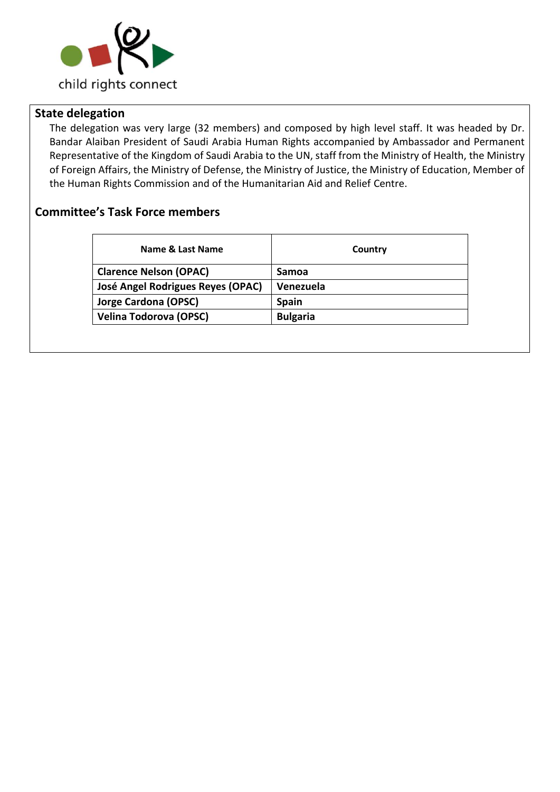

## **State delegation**

The delegation was very large (32 members) and composed by high level staff. It was headed by Dr. Bandar Alaiban President of Saudi Arabia Human Rights accompanied by Ambassador and Permanent Representative of the Kingdom of Saudi Arabia to the UN, staff from the Ministry of Health, the Ministry of Foreign Affairs, the Ministry of Defense, the Ministry of Justice, the Ministry of Education, Member of the Human Rights Commission and of the Humanitarian Aid and Relief Centre.

## **Committee's Task Force members**

| Name & Last Name                  | Country         |
|-----------------------------------|-----------------|
| <b>Clarence Nelson (OPAC)</b>     | Samoa           |
| José Angel Rodrigues Reyes (OPAC) | Venezuela       |
| <b>Jorge Cardona (OPSC)</b>       | <b>Spain</b>    |
| <b>Velina Todorova (OPSC)</b>     | <b>Bulgaria</b> |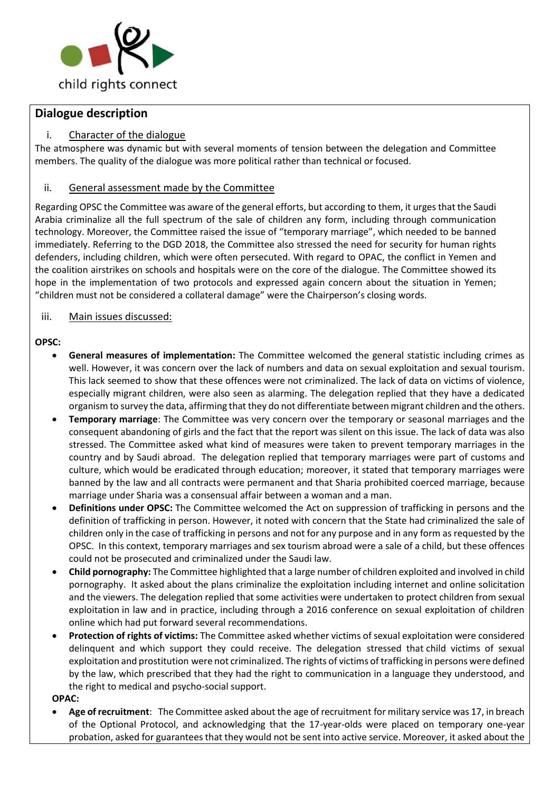

### **Dialogue description**

#### i. Character of the dialogue

The atmosphere was dynamic but with several moments of tension between the delegation and Committee members. The quality of the dialogue was more political rather than technical or focused.

#### ii. General assessment made by the Committee

Regarding OPSC the Committee was aware of the general efforts, but according to them, it urges that the Saudi Arabia criminalize all the full spectrum of the sale of children any form, including through communication technology. Moreover, the Committee raised the issue of "temporary marriage", which needed to be banned immediately. Referring to the DGD 2018, the Committee also stressed the need for security for human rights defenders, including children, which were often persecuted. With regard to OPAC, the conflict in Yemen and the coalition airstrikes on schools and hospitals were on the core of the dialogue. The Committee showed its hope in the implementation of two protocols and expressed again concern about the situation in Yemen; "children must not be considered a collateral damage" were the Chairperson's closing words.

#### iii. Main issues discussed:

#### **OPSC:**

- **General measures of implementation:** The Committee welcomed the general statistic including crimes as well. However, it was concern over the lack of numbers and data on sexual exploitation and sexual tourism. This lack seemed to show that these offences were not criminalized. The lack of data on victims of violence, especially migrant children, were also seen as alarming. The delegation replied that they have a dedicated organism to survey the data, affirming that they do not differentiate between migrant children and the others.
- **Temporary marriage**: The Committee was very concern over the temporary or seasonal marriages and the consequent abandoning of girls and the fact that the report was silent on this issue. The lack of data was also stressed. The Committee asked what kind of measures were taken to prevent temporary marriages in the country and by Saudi abroad. The delegation replied that temporary marriages were part of customs and culture, which would be eradicated through education; moreover, it stated that temporary marriages were banned by the law and all contracts were permanent and that Sharia prohibited coerced marriage, because marriage under Sharia was a consensual affair between a woman and a man.
- **Definitions under OPSC:** The Committee welcomed the Act on suppression of trafficking in persons and the definition of trafficking in person. However, it noted with concern that the State had criminalized the sale of children only in the case of trafficking in persons and not for any purpose and in any form as requested by the OPSC. In this context, temporary marriages and sex tourism abroad were a sale of a child, but these offences could not be prosecuted and criminalized under the Saudi law.
- **Child pornography:** The Committee highlighted that a large number of children exploited and involved in child pornography. It asked about the plans criminalize the exploitation including internet and online solicitation and the viewers. The delegation replied that some activities were undertaken to protect children from sexual exploitation in law and in practice, including through a 2016 conference on sexual exploitation of children online which had put forward several recommendations.
- **Protection of rights of victims:** The Committee asked whether victims of sexual exploitation were considered delinquent and which support they could receive. The delegation stressed that child victims of sexual exploitation and prostitution were not criminalized. The rights of victims of trafficking in persons were defined by the law, which prescribed that they had the right to communication in a language they understood, and the right to medical and psycho-social support.

**OPAC:**

• **Age of recruitment**: The Committee asked about the age of recruitment for military service was 17, in breach of the Optional Protocol, and acknowledging that the 17-year-olds were placed on temporary one-year probation, asked for guarantees that they would not be sent into active service. Moreover, it asked about the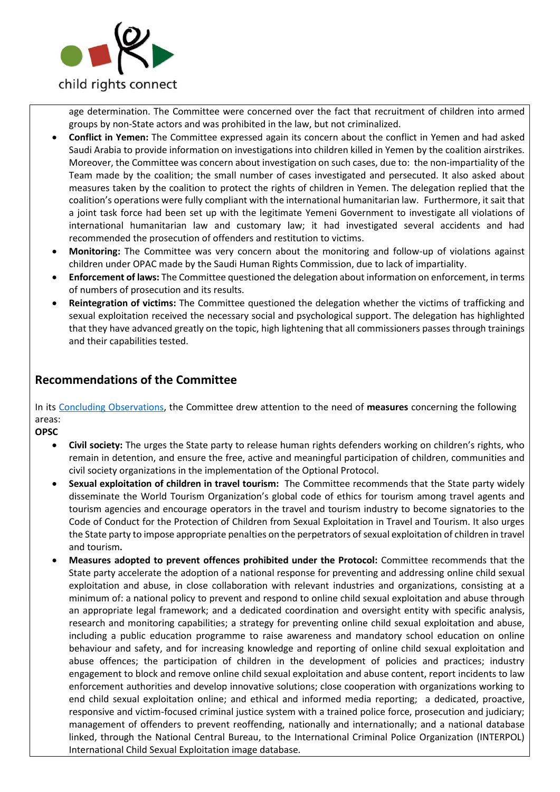

age determination. The Committee were concerned over the fact that recruitment of children into armed groups by non-State actors and was prohibited in the law, but not criminalized.

- **Conflict in Yemen:** The Committee expressed again its concern about the conflict in Yemen and had asked Saudi Arabia to provide information on investigations into children killed in Yemen by the coalition airstrikes. Moreover, the Committee was concern about investigation on such cases, due to: the non-impartiality of the Team made by the coalition; the small number of cases investigated and persecuted. It also asked about measures taken by the coalition to protect the rights of children in Yemen. The delegation replied that the coalition's operations were fully compliant with the international humanitarian law. Furthermore, it sait that a joint task force had been set up with the legitimate Yemeni Government to investigate all violations of international humanitarian law and customary law; it had investigated several accidents and had recommended the prosecution of offenders and restitution to victims.
- **Monitoring:** The Committee was very concern about the monitoring and follow-up of violations against children under OPAC made by the Saudi Human Rights Commission, due to lack of impartiality.
- **Enforcement of laws:** The Committee questioned the delegation about information on enforcement, in terms of numbers of prosecution and its results.
- **Reintegration of victims:** The Committee questioned the delegation whether the victims of trafficking and sexual exploitation received the necessary social and psychological support. The delegation has highlighted that they have advanced greatly on the topic, high lightening that all commissioners passes through trainings and their capabilities tested.

## **Recommendations of the Committee**

In its [Concluding Observations,](https://tbinternet.ohchr.org/_layouts/treatybodyexternal/SessionDetails1.aspx?SessionID=1222&Lang=en) the Committee drew attention to the need of **measures** concerning the following areas:

**OPSC**

- **Civil society:** The urges the State party to release human rights defenders working on children's rights, who remain in detention, and ensure the free, active and meaningful participation of children, communities and civil society organizations in the implementation of the Optional Protocol.
- **Sexual exploitation of children in travel tourism:** The Committee recommends that the State party widely disseminate the World Tourism Organization's global code of ethics for tourism among travel agents and tourism agencies and encourage operators in the travel and tourism industry to become signatories to the Code of Conduct for the Protection of Children from Sexual Exploitation in Travel and Tourism. It also urges the State party to impose appropriate penalties on the perpetrators of sexual exploitation of children in travel and tourism**.**
- **Measures adopted to prevent offences prohibited under the Protocol:** Committee recommends that the State party accelerate the adoption of a national response for preventing and addressing online child sexual exploitation and abuse, in close collaboration with relevant industries and organizations, consisting at a minimum of: a national policy to prevent and respond to online child sexual exploitation and abuse through an appropriate legal framework; and a dedicated coordination and oversight entity with specific analysis, research and monitoring capabilities; a strategy for preventing online child sexual exploitation and abuse, including a public education programme to raise awareness and mandatory school education on online behaviour and safety, and for increasing knowledge and reporting of online child sexual exploitation and abuse offences; the participation of children in the development of policies and practices; industry engagement to block and remove online child sexual exploitation and abuse content, report incidents to law enforcement authorities and develop innovative solutions; close cooperation with organizations working to end child sexual exploitation online; and ethical and informed media reporting; a dedicated, proactive, responsive and victim-focused criminal justice system with a trained police force, prosecution and judiciary; management of offenders to prevent reoffending, nationally and internationally; and a national database linked, through the National Central Bureau, to the International Criminal Police Organization (INTERPOL) International Child Sexual Exploitation image database.